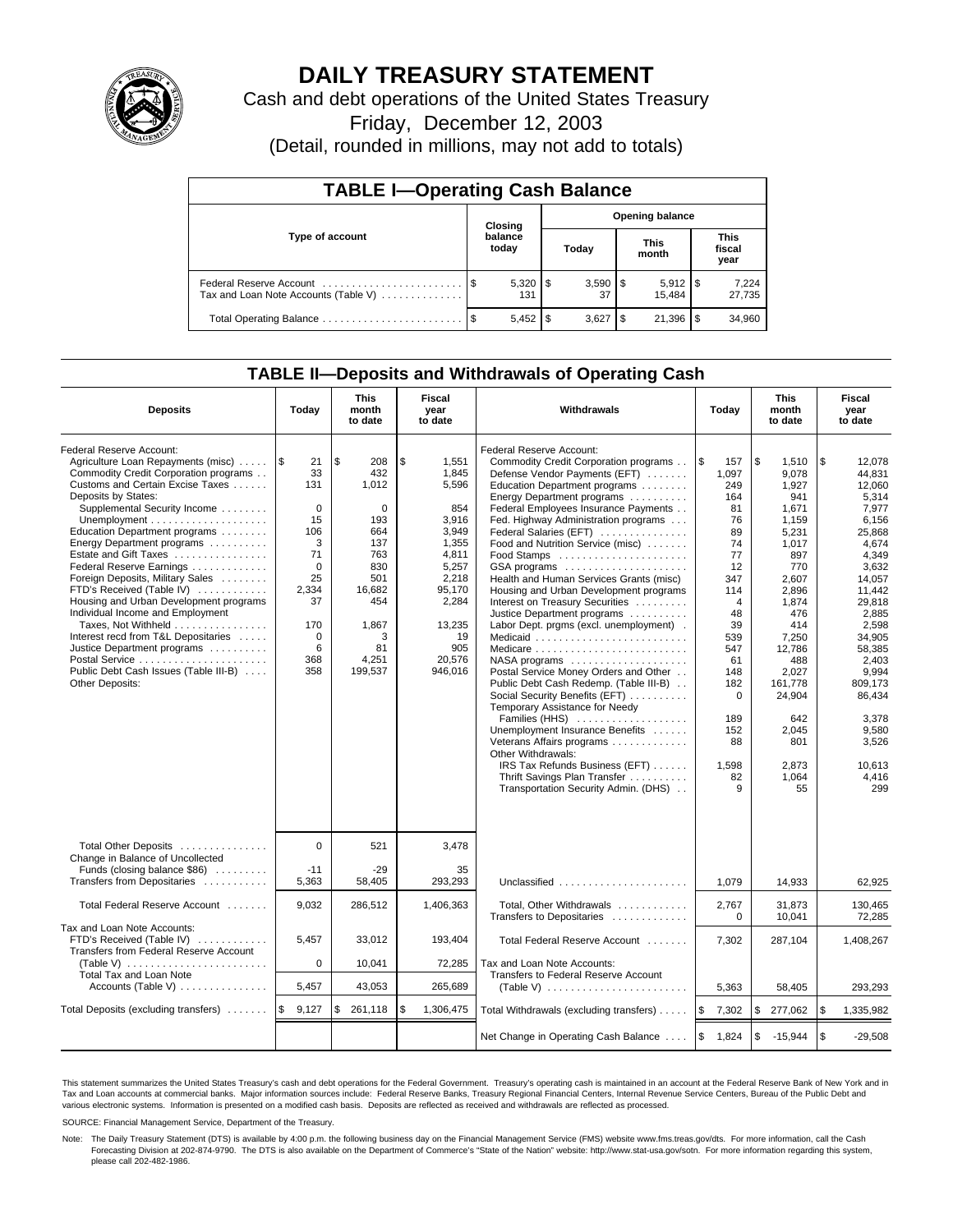

# **DAILY TREASURY STATEMENT**

Cash and debt operations of the United States Treasury

Friday, December 12, 2003

(Detail, rounded in millions, may not add to totals)

| <b>TABLE I-Operating Cash Balance</b>                           |         |                      |                        |                    |     |                       |  |                               |  |
|-----------------------------------------------------------------|---------|----------------------|------------------------|--------------------|-----|-----------------------|--|-------------------------------|--|
|                                                                 | Closing |                      | <b>Opening balance</b> |                    |     |                       |  |                               |  |
| Type of account                                                 |         | balance<br>today     |                        | Today              |     | <b>This</b><br>month  |  | <b>This</b><br>fiscal<br>year |  |
| Federal Reserve Account<br>Tax and Loan Note Accounts (Table V) |         | $5,320$ \ \\$<br>131 |                        | $3,590$ \ \$<br>37 |     | $5,912$ \\$<br>15.484 |  | 7,224<br>27,735               |  |
|                                                                 |         | 5,452                | - \$                   | 3.627              | -\$ | 21,396                |  | 34,960                        |  |

### **TABLE II—Deposits and Withdrawals of Operating Cash**

| <b>Deposits</b>                                                                                                                                                                                                                                                                                                                                                                                                                                                                                                                                                                                                                | Today                                                                                                                                      | <b>This</b><br>month<br>to date                                                                                                   | Fiscal<br>year<br>to date                                                                                                                                 | <b>Withdrawals</b>                                                                                                                                                                                                                                                                                                                                                                                                                                                                                                                                                                                                                                                                                                                                                                                                                                                                                                                       | Today                                                                                                                                                                                                   | <b>This</b><br>month<br>to date                                                                                                                                                                                                        | Fiscal<br>year<br>to date                                                                                                                                                                                                                                        |
|--------------------------------------------------------------------------------------------------------------------------------------------------------------------------------------------------------------------------------------------------------------------------------------------------------------------------------------------------------------------------------------------------------------------------------------------------------------------------------------------------------------------------------------------------------------------------------------------------------------------------------|--------------------------------------------------------------------------------------------------------------------------------------------|-----------------------------------------------------------------------------------------------------------------------------------|-----------------------------------------------------------------------------------------------------------------------------------------------------------|------------------------------------------------------------------------------------------------------------------------------------------------------------------------------------------------------------------------------------------------------------------------------------------------------------------------------------------------------------------------------------------------------------------------------------------------------------------------------------------------------------------------------------------------------------------------------------------------------------------------------------------------------------------------------------------------------------------------------------------------------------------------------------------------------------------------------------------------------------------------------------------------------------------------------------------|---------------------------------------------------------------------------------------------------------------------------------------------------------------------------------------------------------|----------------------------------------------------------------------------------------------------------------------------------------------------------------------------------------------------------------------------------------|------------------------------------------------------------------------------------------------------------------------------------------------------------------------------------------------------------------------------------------------------------------|
| Federal Reserve Account:<br>Agriculture Loan Repayments (misc)<br>Commodity Credit Corporation programs<br>Customs and Certain Excise Taxes<br>Deposits by States:<br>Supplemental Security Income<br>Education Department programs<br>Energy Department programs<br>Estate and Gift Taxes<br>Federal Reserve Earnings<br>Foreign Deposits, Military Sales<br>FTD's Received (Table IV)<br>Housing and Urban Development programs<br>Individual Income and Employment<br>Taxes, Not Withheld<br>Interest recd from T&L Depositaries<br>Justice Department programs<br>Public Debt Cash Issues (Table III-B)<br>Other Deposits: | 1\$<br>21<br>33<br>131<br>$\mathbf 0$<br>15<br>106<br>3<br>71<br>$\mathbf 0$<br>25<br>2,334<br>37<br>170<br>$\mathbf 0$<br>6<br>368<br>358 | \$<br>208<br>432<br>1,012<br>0<br>193<br>664<br>137<br>763<br>830<br>501<br>16,682<br>454<br>1,867<br>3<br>81<br>4,251<br>199,537 | \$<br>1,551<br>1,845<br>5,596<br>854<br>3.916<br>3,949<br>1,355<br>4,811<br>5,257<br>2,218<br>95,170<br>2,284<br>13,235<br>19<br>905<br>20,576<br>946,016 | Federal Reserve Account:<br>Commodity Credit Corporation programs<br>Defense Vendor Payments (EFT)<br>Education Department programs<br>Energy Department programs<br>Federal Employees Insurance Payments<br>Fed. Highway Administration programs<br>Federal Salaries (EFT)<br>Food and Nutrition Service (misc)<br>GSA programs<br>Health and Human Services Grants (misc)<br>Housing and Urban Development programs<br>Interest on Treasury Securities<br>Justice Department programs<br>Labor Dept. prgms (excl. unemployment).<br>Medicaid<br>NASA programs<br>Postal Service Money Orders and Other<br>Public Debt Cash Redemp. (Table III-B)<br>Social Security Benefits (EFT)<br>Temporary Assistance for Needy<br>Families (HHS)<br>Unemployment Insurance Benefits<br>Veterans Affairs programs<br>Other Withdrawals:<br>IRS Tax Refunds Business (EFT)<br>Thrift Savings Plan Transfer<br>Transportation Security Admin. (DHS) | l\$<br>157<br>1,097<br>249<br>164<br>81<br>76<br>89<br>74<br>77<br>12<br>347<br>114<br>$\overline{4}$<br>48<br>39<br>539<br>547<br>61<br>148<br>182<br>$\Omega$<br>189<br>152<br>88<br>1,598<br>82<br>9 | \$<br>1,510<br>9.078<br>1,927<br>941<br>1.671<br>1,159<br>5,231<br>1,017<br>897<br>770<br>2.607<br>2.896<br>1,874<br>476<br>414<br>7,250<br>12,786<br>488<br>2.027<br>161.778<br>24,904<br>642<br>2,045<br>801<br>2.873<br>1.064<br>55 | \$<br>12,078<br>44,831<br>12.060<br>5,314<br>7.977<br>6,156<br>25,868<br>4,674<br>4,349<br>3,632<br>14.057<br>11.442<br>29.818<br>2,885<br>2,598<br>34.905<br>58,385<br>2,403<br>9.994<br>809.173<br>86,434<br>3,378<br>9,580<br>3,526<br>10.613<br>4,416<br>299 |
| Total Other Deposits<br>Change in Balance of Uncollected<br>Funds (closing balance \$86)<br>Transfers from Depositaries                                                                                                                                                                                                                                                                                                                                                                                                                                                                                                        | $\mathbf 0$<br>$-11$<br>5,363                                                                                                              | 521<br>$-29$<br>58,405                                                                                                            | 3,478<br>35<br>293,293                                                                                                                                    | Unclassified                                                                                                                                                                                                                                                                                                                                                                                                                                                                                                                                                                                                                                                                                                                                                                                                                                                                                                                             | 1.079                                                                                                                                                                                                   | 14,933                                                                                                                                                                                                                                 | 62,925                                                                                                                                                                                                                                                           |
| Total Federal Reserve Account                                                                                                                                                                                                                                                                                                                                                                                                                                                                                                                                                                                                  | 9,032                                                                                                                                      | 286,512                                                                                                                           | 1,406,363                                                                                                                                                 | Total, Other Withdrawals                                                                                                                                                                                                                                                                                                                                                                                                                                                                                                                                                                                                                                                                                                                                                                                                                                                                                                                 | 2,767<br>$\mathbf 0$                                                                                                                                                                                    | 31,873                                                                                                                                                                                                                                 | 130,465                                                                                                                                                                                                                                                          |
| Tax and Loan Note Accounts:<br>FTD's Received (Table IV)<br>Transfers from Federal Reserve Account<br>(Table V) $\ldots \ldots \ldots \ldots \ldots \ldots \ldots$<br>Total Tax and Loan Note                                                                                                                                                                                                                                                                                                                                                                                                                                  | 5,457<br>$\mathbf 0$                                                                                                                       | 33,012<br>10,041                                                                                                                  | 193,404<br>72,285                                                                                                                                         | Transfers to Depositaries<br>Total Federal Reserve Account<br>Tax and Loan Note Accounts:<br>Transfers to Federal Reserve Account                                                                                                                                                                                                                                                                                                                                                                                                                                                                                                                                                                                                                                                                                                                                                                                                        | 7,302                                                                                                                                                                                                   | 10,041<br>287,104                                                                                                                                                                                                                      | 72,285<br>1,408,267                                                                                                                                                                                                                                              |
| Accounts (Table V) $\dots \dots \dots \dots$                                                                                                                                                                                                                                                                                                                                                                                                                                                                                                                                                                                   | 5,457                                                                                                                                      | 43,053                                                                                                                            | 265,689                                                                                                                                                   |                                                                                                                                                                                                                                                                                                                                                                                                                                                                                                                                                                                                                                                                                                                                                                                                                                                                                                                                          | 5,363                                                                                                                                                                                                   | 58,405                                                                                                                                                                                                                                 | 293,293                                                                                                                                                                                                                                                          |
| Total Deposits (excluding transfers)                                                                                                                                                                                                                                                                                                                                                                                                                                                                                                                                                                                           | ۱\$<br>9,127                                                                                                                               | \$<br>261,118                                                                                                                     | \$<br>1,306,475                                                                                                                                           | Total Withdrawals (excluding transfers)                                                                                                                                                                                                                                                                                                                                                                                                                                                                                                                                                                                                                                                                                                                                                                                                                                                                                                  | l\$<br>7,302                                                                                                                                                                                            | \$<br>277,062                                                                                                                                                                                                                          | l \$<br>1,335,982                                                                                                                                                                                                                                                |
|                                                                                                                                                                                                                                                                                                                                                                                                                                                                                                                                                                                                                                |                                                                                                                                            |                                                                                                                                   |                                                                                                                                                           | Net Change in Operating Cash Balance                                                                                                                                                                                                                                                                                                                                                                                                                                                                                                                                                                                                                                                                                                                                                                                                                                                                                                     | ا \$<br>1,824                                                                                                                                                                                           | \$<br>$-15,944$                                                                                                                                                                                                                        | $\sqrt{3}$<br>$-29,508$                                                                                                                                                                                                                                          |

This statement summarizes the United States Treasury's cash and debt operations for the Federal Government. Treasury's operating cash is maintained in an account at the Federal Reserve Bank of New York and in Tax and Loan accounts at commercial banks. Major information sources include: Federal Reserve Banks, Treasury Regional Financial Centers, Internal Revenue Service Centers, Bureau of the Public Debt and<br>various electronic s

SOURCE: Financial Management Service, Department of the Treasury.

Note: The Daily Treasury Statement (DTS) is available by 4:00 p.m. the following business day on the Financial Management Service (FMS) website www.fms.treas.gov/dts. For more information, call the Cash Forecasting Division at 202-874-9790. The DTS is also available on the Department of Commerce's "State of the Nation" website: http://www.stat-usa.gov/sotn. For more information regarding this system, please call 202-482-1986.